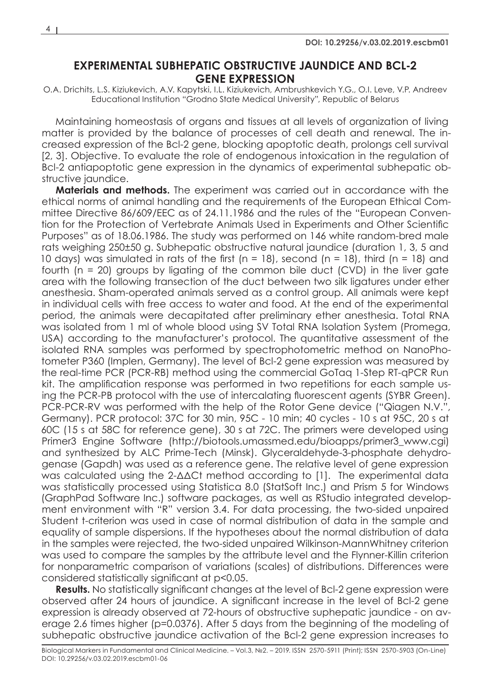## **EXPERIMENTAL SUBHEPATIC OBSTRUCTIVE JAUNDICE AND BCL-2 GENE EXPRESSION**

O.A. Drichits, L.S. Kiziukevich, A.V. Kapytski, I.L. Kiziukevich, Ambrushkevich Y.G., O.I. Leve, V.P. Andreev Educational Institution "Grodno State Medical University", Republic of Belarus

Maintaining homeostasis of organs and tissues at all levels of organization of living matter is provided by the balance of processes of cell death and renewal. The increased expression of the Bcl-2 gene, blocking apoptotic death, prolongs cell survival [2, 3]. Objective. To evaluate the role of endogenous intoxication in the regulation of Bcl-2 antiapoptotic gene expression in the dynamics of experimental subhepatic obstructive jaundice.

**Materials and methods.** The experiment was carried out in accordance with the ethical norms of animal handling and the requirements of the European Ethical Committee Directive 86/609/EEC as of 24.11.1986 and the rules of the "European Convention for the Protection of Vertebrate Animals Used in Experiments and Other Scientific Purposes" as of 18.06.1986. The study was performed on 146 white random-bred male rats weighing 250±50 g. Subhepatic obstructive natural jaundice (duration 1, 3, 5 and 10 days) was simulated in rats of the first (n = 18), second (n = 18), third (n = 18) and fourth (n = 20) groups by ligating of the common bile duct (CVD) in the liver gate area with the following transection of the duct between two silk ligatures under ether anesthesia. Sham-operated animals served as a control group. All animals were kept in individual cells with free access to water and food. At the end of the experimental period, the animals were decapitated after preliminary ether anesthesia. Total RNA was isolated from 1 ml of whole blood using SV Total RNA Isolation System (Promega, USA) according to the manufacturer's protocol. The quantitative assessment of the isolated RNA samples was performed by spectrophotometric method on NanoPhotometer P360 (Implen, Germany). The level of Bcl-2 gene expression was measured by the real-time PCR (PCR-RB) method using the commercial GoTaq 1-Step RT-qPCR Run kit. The amplification response was performed in two repetitions for each sample using the PCR-PB protocol with the use of intercalating fluorescent agents (SYBR Green). PCR-PCR-RV was performed with the help of the Rotor Gene device ("Qiagen N.V.", Germany). PCR protocol: 37C for 30 min, 95C - 10 min; 40 cycles - 10 s at 95C, 20 s at 60C (15 s at 58C for reference gene), 30 s at 72C. The primers were developed using Primer3 Engine Software (http://biotools.umassmed.edu/bioapps/primer3\_www.cgi) and synthesized by ALC Prime-Tech (Minsk). Glyceraldehyde-3-phosphate dehydrogenase (Gapdh) was used as a reference gene. The relative level of gene expression was calculated using the 2-ΔΔCt method according to [1]. The experimental data was statistically processed using Statistica 8.0 (StatSoft Inc.) and Prism 5 for Windows (GraphPad Software Inc.) software packages, as well as RStudio integrated development environment with "R" version 3.4. For data processing, the two-sided unpaired Student t-criterion was used in case of normal distribution of data in the sample and equality of sample dispersions. If the hypotheses about the normal distribution of data in the samples were rejected, the two-sided unpaired Wilkinson-MannWhitney criterion was used to compare the samples by the attribute level and the Flynner-Killin criterion for nonparametric comparison of variations (scales) of distributions. Differences were considered statistically significant at p<0.05.

**Results.** No statistically significant changes at the level of Bcl-2 gene expression were observed after 24 hours of jaundice. A significant increase in the level of Bcl-2 gene expression is already observed at 72-hours of obstructive suphepatic jaundice - on average 2.6 times higher (p=0.0376). After 5 days from the beginning of the modeling of subhepatic obstructive jaundice activation of the Bcl-2 gene expression increases to